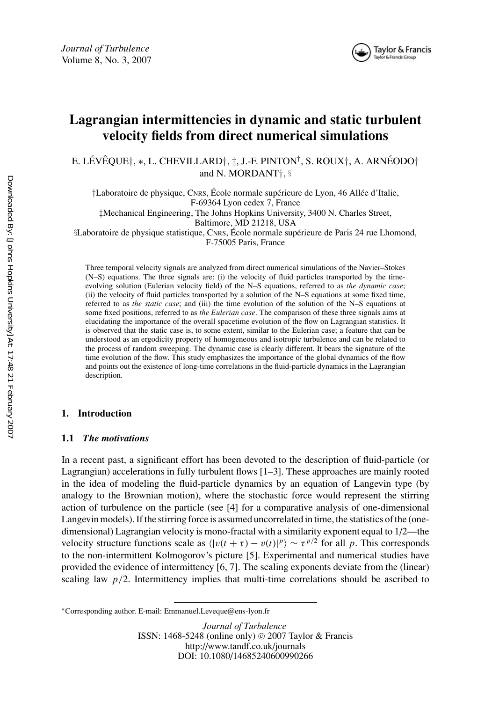

# **Lagrangian intermittencies in dynamic and static turbulent velocity fields from direct numerical simulations**

E. LÉVÊQUE†,  $\ast$ , L. CHEVILLARD†, ‡, J.-F. PINTON†, S. ROUX†, A. ARNÉODO† and N. MORDANT†, §

†Laboratoire de physique, CNRS, École normale supérieure de Lyon, 46 Allée d'Italie, F-69364 Lyon cedex 7, France

‡Mechanical Engineering, The Johns Hopkins University, 3400 N. Charles Street,

Baltimore, MD 21218, USA

§Laboratoire de physique statistique, CNRS, École normale supérieure de Paris 24 rue Lhomond, F-75005 Paris, France

Three temporal velocity signals are analyzed from direct numerical simulations of the Navier–Stokes (N–S) equations. The three signals are: (i) the velocity of fluid particles transported by the timeevolving solution (Eulerian velocity field) of the N–S equations, referred to as *the dynamic case*; (ii) the velocity of fluid particles transported by a solution of the N–S equations at some fixed time, referred to as *the static case*; and (iii) the time evolution of the solution of the N–S equations at some fixed positions, referred to as *the Eulerian case*. The comparison of these three signals aims at elucidating the importance of the overall spacetime evolution of the flow on Lagrangian statistics. It is observed that the static case is, to some extent, similar to the Eulerian case; a feature that can be understood as an ergodicity property of homogeneous and isotropic turbulence and can be related to the process of random sweeping. The dynamic case is clearly different. It bears the signature of the time evolution of the flow. This study emphasizes the importance of the global dynamics of the flow and points out the existence of long-time correlations in the fluid-particle dynamics in the Lagrangian description.

## **1. Introduction**

## **1.1** *The motivations*

In a recent past, a significant effort has been devoted to the description of fluid-particle (or Lagrangian) accelerations in fully turbulent flows [1–3]. These approaches are mainly rooted in the idea of modeling the fluid-particle dynamics by an equation of Langevin type (by analogy to the Brownian motion), where the stochastic force would represent the stirring action of turbulence on the particle (see [4] for a comparative analysis of one-dimensional Langevin models). If the stirring force is assumed uncorrelated in time, the statistics of the (onedimensional) Lagrangian velocity is mono-fractal with a similarity exponent equal to 1/2—the velocity structure functions scale as  $\langle |v(t + \tau) - v(t)|^p \rangle \sim \tau^{p/2}$  for all *p*. This corresponds to the non-intermittent Kolmogorov's picture [5]. Experimental and numerical studies have provided the evidence of intermittency [6, 7]. The scaling exponents deviate from the (linear) scaling law  $p/2$ . Intermittency implies that multi-time correlations should be ascribed to

*Journal of Turbulence* ISSN: 1468-5248 (online only)  $\odot$  2007 Taylor & Francis http://www.tandf.co.uk/journals DOI: 10.1080/14685240600990266

<sup>∗</sup>Corresponding author. E-mail: Emmanuel.Leveque@ens-lyon.fr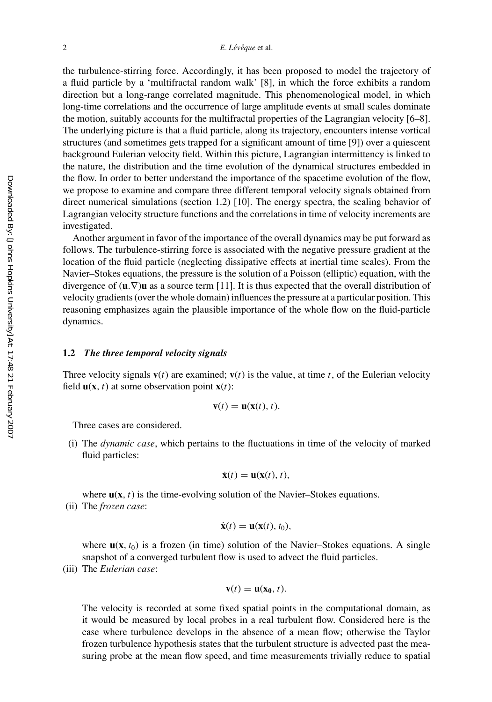the turbulence-stirring force. Accordingly, it has been proposed to model the trajectory of a fluid particle by a 'multifractal random walk' [8], in which the force exhibits a random direction but a long-range correlated magnitude. This phenomenological model, in which long-time correlations and the occurrence of large amplitude events at small scales dominate the motion, suitably accounts for the multifractal properties of the Lagrangian velocity [6–8]. The underlying picture is that a fluid particle, along its trajectory, encounters intense vortical structures (and sometimes gets trapped for a significant amount of time [9]) over a quiescent background Eulerian velocity field. Within this picture, Lagrangian intermittency is linked to the nature, the distribution and the time evolution of the dynamical structures embedded in the flow. In order to better understand the importance of the spacetime evolution of the flow, we propose to examine and compare three different temporal velocity signals obtained from direct numerical simulations (section 1.2) [10]. The energy spectra, the scaling behavior of Lagrangian velocity structure functions and the correlations in time of velocity increments are investigated.

Another argument in favor of the importance of the overall dynamics may be put forward as follows. The turbulence-stirring force is associated with the negative pressure gradient at the location of the fluid particle (neglecting dissipative effects at inertial time scales). From the Navier–Stokes equations, the pressure is the solution of a Poisson (elliptic) equation, with the divergence of (**u**.∇)**u** as a source term [11]. It is thus expected that the overall distribution of velocity gradients (over the whole domain) influences the pressure at a particular position. This reasoning emphasizes again the plausible importance of the whole flow on the fluid-particle dynamics.

### **1.2** *The three temporal velocity signals*

Three velocity signals  $\mathbf{v}(t)$  are examined;  $\mathbf{v}(t)$  is the value, at time  $t$ , of the Eulerian velocity field  $\mathbf{u}(\mathbf{x}, t)$  at some observation point  $\mathbf{x}(t)$ :

$$
\mathbf{v}(t) = \mathbf{u}(\mathbf{x}(t), t).
$$

Three cases are considered.

(i) The *dynamic case*, which pertains to the fluctuations in time of the velocity of marked fluid particles:

$$
\dot{\mathbf{x}}(t) = \mathbf{u}(\mathbf{x}(t), t),
$$

where  $\mathbf{u}(\mathbf{x}, t)$  is the time-evolving solution of the Navier–Stokes equations.

(ii) The *frozen case*:

$$
\dot{\mathbf{x}}(t) = \mathbf{u}(\mathbf{x}(t), t_0),
$$

where  $\mathbf{u}(\mathbf{x}, t_0)$  is a frozen (in time) solution of the Navier–Stokes equations. A single snapshot of a converged turbulent flow is used to advect the fluid particles.

(iii) The *Eulerian case*:

$$
\mathbf{v}(t) = \mathbf{u}(\mathbf{x}_0, t).
$$

The velocity is recorded at some fixed spatial points in the computational domain, as it would be measured by local probes in a real turbulent flow. Considered here is the case where turbulence develops in the absence of a mean flow; otherwise the Taylor frozen turbulence hypothesis states that the turbulent structure is advected past the measuring probe at the mean flow speed, and time measurements trivially reduce to spatial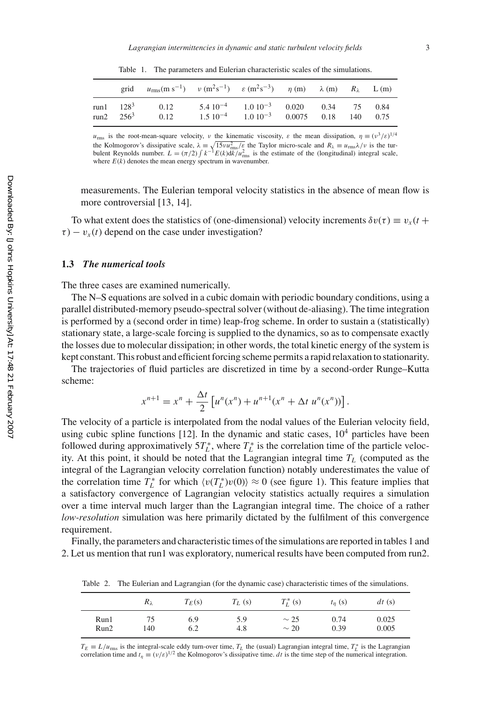| grid                                   | $u_{\rm rms}(m \, {\rm s}^{-1})$ $v \, (m^2 {\rm s}^{-1})$ $\varepsilon \, (m^2 {\rm s}^{-3})$ $\eta \, (m)$ $\lambda \, (m)$ $R_{\lambda}$ $\rm L \, (m)$ |                                                                                                         |  |      |
|----------------------------------------|------------------------------------------------------------------------------------------------------------------------------------------------------------|---------------------------------------------------------------------------------------------------------|--|------|
| run $1 \t128^3$<br>run $2 \quad 256^3$ | 0.12<br>0.12                                                                                                                                               | $5.4\ 10^{-4}$ $1.0\ 10^{-3}$ $0.020$ $0.34$ 75 $0.84$<br>$1.5\ 10^{-4}$ $1.0\ 10^{-3}$ 0.0075 0.18 140 |  | 0.75 |

Table 1. The parameters and Eulerian characteristic scales of the simulations.

 $u_{\text{rms}}$  is the root-mean-square velocity, v the kinematic viscosity,  $\varepsilon$  the mean dissipation,  $\eta \equiv (v^3/\varepsilon)^{1/4}$ the Kolmogorov's dissipative scale,  $\lambda = \sqrt{15v u_{\text{rms}}^2/\varepsilon}$  the Taylor micro-scale and  $R_{\lambda} \equiv u_{\text{rms}} \lambda/\nu$  is the turbulent Reynolds number.  $L = (\pi/2) \int k^{-1} E(k) dk/u_{\text{rms}}^2$  is the estimate of the (longitudinal) integral s where  $E(k)$  denotes the mean energy spectrum in wavenumber.

measurements. The Eulerian temporal velocity statistics in the absence of mean flow is more controversial [13, 14].

To what extent does the statistics of (one-dimensional) velocity increments  $\delta v(\tau) \equiv v_x(t + \tau)$  $\tau$ ) –  $v_x(t)$  depend on the case under investigation?

## **1.3** *The numerical tools*

The three cases are examined numerically.

The N–S equations are solved in a cubic domain with periodic boundary conditions, using a parallel distributed-memory pseudo-spectral solver (without de-aliasing). The time integration is performed by a (second order in time) leap-frog scheme. In order to sustain a (statistically) stationary state, a large-scale forcing is supplied to the dynamics, so as to compensate exactly the losses due to molecular dissipation; in other words, the total kinetic energy of the system is kept constant. This robust and efficient forcing scheme permits a rapid relaxation to stationarity.

The trajectories of fluid particles are discretized in time by a second-order Runge–Kutta scheme:

$$
x^{n+1} = x^n + \frac{\Delta t}{2} \left[ u^n(x^n) + u^{n+1}(x^n + \Delta t \ u^n(x^n)) \right].
$$

The velocity of a particle is interpolated from the nodal values of the Eulerian velocity field, using cubic spline functions  $[12]$ . In the dynamic and static cases,  $10<sup>4</sup>$  particles have been followed during approximatively  $5T_L^*$ , where  $T_L^*$  is the correlation time of the particle velocity. At this point, it should be noted that the Lagrangian integral time  $T_L$  (computed as the integral of the Lagrangian velocity correlation function) notably underestimates the value of the correlation time  $T_L^*$  for which  $\langle v(T_L^*)v(0) \rangle \approx 0$  (see figure 1). This feature implies that a satisfactory convergence of Lagrangian velocity statistics actually requires a simulation over a time interval much larger than the Lagrangian integral time. The choice of a rather *low-resolution* simulation was here primarily dictated by the fulfilment of this convergence requirement.

Finally, the parameters and characteristic times of the simulations are reported in tables 1 and 2. Let us mention that run1 was exploratory, numerical results have been computed from run2.

Table 2. The Eulerian and Lagrangian (for the dynamic case) characteristic times of the simulations.

|      | $R_\lambda$ | $T_E(s)$ | $T_L$ (s) | $T_t^*$ (s) | $t_n(s)$ | dt(s) |
|------|-------------|----------|-----------|-------------|----------|-------|
| Run1 | 140         | 6.9      | 5.9       | $\sim$ 25   | 0.74     | 0.025 |
| Run2 |             | 6.2      | 4.8       | $\sim$ 20   | 0.39     | 0.005 |

 $T_E \equiv L/u_{\text{rms}}$  is the integral-scale eddy turn-over time,  $T_L$  the (usual) Lagrangian integral time,  $T_L^*$  is the Lagrangian correlation time and  $t_\eta \equiv (v/\varepsilon)^{1/2}$  the Kolmogorov's dissipative time. *dt* is the time step of the numerical integration.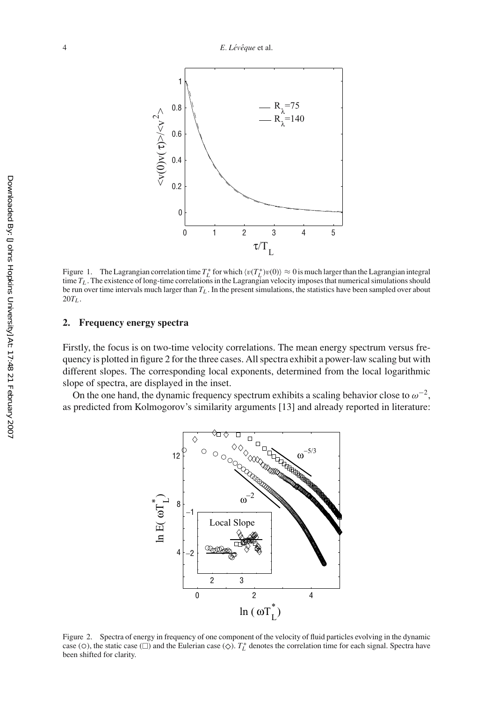

Figure 1. The Lagrangian correlation time  $T_L^*$  for which  $\langle v(T_L^*)v(0)\rangle \approx 0$  is much larger than the Lagrangian integral time  $T_L$ . The existence of long-time correlations in the Lagrangian velocity imposes that numerical simulations should be run over time intervals much larger than  $T<sub>L</sub>$ . In the present simulations, the statistics have been sampled over about  $20T_L$ .

#### **2. Frequency energy spectra**

Firstly, the focus is on two-time velocity correlations. The mean energy spectrum versus frequency is plotted in figure 2 for the three cases. All spectra exhibit a power-law scaling but with different slopes. The corresponding local exponents, determined from the local logarithmic slope of spectra, are displayed in the inset.

On the one hand, the dynamic frequency spectrum exhibits a scaling behavior close to  $\omega^{-2}$ , as predicted from Kolmogorov's similarity arguments [13] and already reported in literature:



Figure 2. Spectra of energy in frequency of one component of the velocity of fluid particles evolving in the dynamic case (○), the static case (□) and the Eulerian case (◇).  $T_L^*$  denotes the correlation time for each signal. Spectra have<br>been shifted for clarity been shifted for clarity.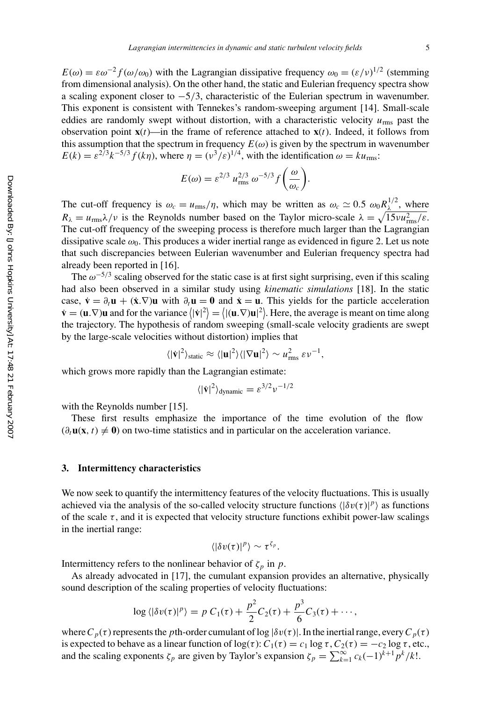$E(\omega) = \varepsilon \omega^{-2} f(\omega/\omega_0)$  with the Lagrangian dissipative frequency  $\omega_0 = (\varepsilon/\nu)^{1/2}$  (stemming from dimensional analysis). On the other hand, the static and Eulerian frequency spectra show a scaling exponent closer to −5/3, characteristic of the Eulerian spectrum in wavenumber. This exponent is consistent with Tennekes's random-sweeping argument [14]. Small-scale eddies are randomly swept without distortion, with a characteristic velocity  $u_{\text{rms}}$  past the observation point  $\mathbf{x}(t)$ —in the frame of reference attached to  $\mathbf{x}(t)$ . Indeed, it follows from this assumption that the spectrum in frequency  $E(\omega)$  is given by the spectrum in wavenumber  $E(k) = \varepsilon^{2/3} k^{-5/3} f(k\eta)$ , where  $\eta = (v^3/\varepsilon)^{1/4}$ , with the identification  $\omega = k u_{\text{rms}}$ .

$$
E(\omega) = \varepsilon^{2/3} u_{\text{rms}}^{2/3} \omega^{-5/3} f\left(\frac{\omega}{\omega_c}\right).
$$

The cut-off frequency is  $\omega_c = u_{\text{rms}}/\eta$ , which may be written as  $\omega_c \simeq 0.5 \omega_0 R_\lambda^{1/2}$ , where  $R_{\lambda} = u_{\text{rms}} \lambda / \nu$  is the Reynolds number based on the Taylor micro-scale  $\lambda = \sqrt{15 \nu u_{\text{rms}}^2/\varepsilon}$ . The cut-off frequency of the sweeping process is therefore much larger than the Lagrangian dissipative scale  $\omega_0$ . This produces a wider inertial range as evidenced in figure 2. Let us note that such discrepancies between Eulerian wavenumber and Eulerian frequency spectra had already been reported in [16].

The  $\omega^{-5/3}$  scaling observed for the static case is at first sight surprising, even if this scaling had also been observed in a similar study using *kinematic simulations* [18]. In the static case,  $\dot{\mathbf{v}} = \partial_t \mathbf{u} + (\dot{\mathbf{x}} \cdot \nabla) \mathbf{u}$  with  $\partial_t \mathbf{u} = \mathbf{0}$  and  $\dot{\mathbf{x}} = \mathbf{u}$ . This yields for the particle acceleration  $\dot{\mathbf{v}} = (\mathbf{u}.\nabla)\mathbf{u}$  and for the variance  $\langle |\dot{\mathbf{v}}|^2 \rangle = \langle |(\mathbf{u}.\nabla)\mathbf{u}|^2 \rangle$ . Here, the average is meant on time along the trajectory. The hypothesis of random sweeping (small-scale velocity gradients are swept by the large-scale velocities without distortion) implies that

$$
\langle |\dot{\mathbf{v}}|^2 \rangle_{\text{static}} \approx \langle |\mathbf{u}|^2 \rangle \langle |\nabla \mathbf{u}|^2 \rangle \sim u_{\text{rms}}^2 \,\varepsilon \nu^{-1},
$$

which grows more rapidly than the Lagrangian estimate:

$$
\langle |\dot{\mathbf{v}}|^2 \rangle_{\text{dynamic}} = \varepsilon^{3/2} \nu^{-1/2}
$$

with the Reynolds number [15].

These first results emphasize the importance of the time evolution of the flow  $(\partial_t \mathbf{u}(\mathbf{x}, t) \neq \mathbf{0})$  on two-time statistics and in particular on the acceleration variance.

#### **3. Intermittency characteristics**

We now seek to quantify the intermittency features of the velocity fluctuations. This is usually achieved via the analysis of the so-called velocity structure functions  $\langle |\delta v(\tau)|^p \rangle$  as functions of the scale  $\tau$ , and it is expected that velocity structure functions exhibit power-law scalings in the inertial range:

$$
\langle |\delta v(\tau)|^p \rangle \sim \tau^{\zeta_p}.
$$

Intermittency refers to the nonlinear behavior of  $\zeta_p$  in p.

As already advocated in [17], the cumulant expansion provides an alternative, physically sound description of the scaling properties of velocity fluctuations:

$$
\log \langle |\delta v(\tau)|^p \rangle = p C_1(\tau) + \frac{p^2}{2} C_2(\tau) + \frac{p^3}{6} C_3(\tau) + \cdots,
$$

where  $C_p(\tau)$  represents the *p*th-order cumulant of log  $|\delta v(\tau)|$ . In the inertial range, every  $C_p(\tau)$ is expected to behave as a linear function of  $log(\tau)$ :  $C_1(\tau) = c_1 \log \tau$ ,  $C_2(\tau) = -c_2 \log \tau$ , etc., and the scaling exponents  $\zeta_p$  are given by Taylor's expansion  $\zeta_p = \sum_{k=1}^{\infty} c_k(-1)^{k+1} p^k/k!$ .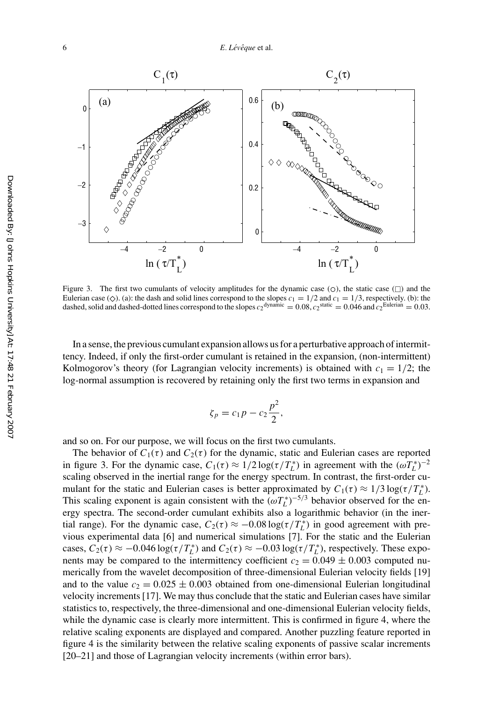

Figure 3. The first two cumulants of velocity amplitudes for the dynamic case ( $\circ$ ), the static case ( $\Box$ ) and the Eulerian case ( $\Diamond$ ). (a): the dash and solid lines correspond to the slopes  $c_1 = 1/2$  and  $c_1 = 1/3$ , respectively. (b): the dashed and cases of the slopes  $c_2$ <sup>dynamic</sup>  $\Box$  0.08,  $c_2$ <sup>static</sup>  $\Box$  0.046 and  $c_2$ <sup>Eu</sup> dashed, solid and dashed-dotted lines correspond to the slopes  $c_2$ <sup>dynamic</sup> = 0.08,  $c_2$ <sup>static</sup> = 0.046 and  $c_2$ <sup>Eulerian</sup> = 0.03.

In a sense, the previous cumulant expansion allows us for a perturbative approach of intermittency. Indeed, if only the first-order cumulant is retained in the expansion, (non-intermittent) Kolmogorov's theory (for Lagrangian velocity increments) is obtained with  $c_1 = 1/2$ ; the log-normal assumption is recovered by retaining only the first two terms in expansion and

$$
\zeta_p = c_1 p - c_2 \frac{p^2}{2},
$$

and so on. For our purpose, we will focus on the first two cumulants.

The behavior of  $C_1(\tau)$  and  $C_2(\tau)$  for the dynamic, static and Eulerian cases are reported in figure 3. For the dynamic case,  $C_1(\tau) \approx 1/2 \log(\tau/T_L^*)$  in agreement with the  $(\omega T_L^*)^{-2}$ scaling observed in the inertial range for the energy spectrum. In contrast, the first-order cumulant for the static and Eulerian cases is better approximated by  $C_1(\tau) \approx 1/3 \log(\tau/T_L^*)$ . This scaling exponent is again consistent with the  $(\omega T_L^*)^{-5/3}$  behavior observed for the energy spectra. The second-order cumulant exhibits also a logarithmic behavior (in the inertial range). For the dynamic case,  $C_2(\tau) \approx -0.08 \log(\tau/T_L^*)$  in good agreement with previous experimental data [6] and numerical simulations [7]. For the static and the Eulerian cases,  $C_2(\tau) \approx -0.046 \log(\tau/T_L^*)$  and  $C_2(\tau) \approx -0.03 \log(\tau/T_L^*)$ , respectively. These exponents may be compared to the intermittency coefficient  $c_2 = 0.049 \pm 0.003$  computed numerically from the wavelet decomposition of three-dimensional Eulerian velocity fields [19] and to the value  $c_2 = 0.025 \pm 0.003$  obtained from one-dimensional Eulerian longitudinal velocity increments [17]. We may thus conclude that the static and Eulerian cases have similar statistics to, respectively, the three-dimensional and one-dimensional Eulerian velocity fields, while the dynamic case is clearly more intermittent. This is confirmed in figure 4, where the relative scaling exponents are displayed and compared. Another puzzling feature reported in figure 4 is the similarity between the relative scaling exponents of passive scalar increments [20–21] and those of Lagrangian velocity increments (within error bars).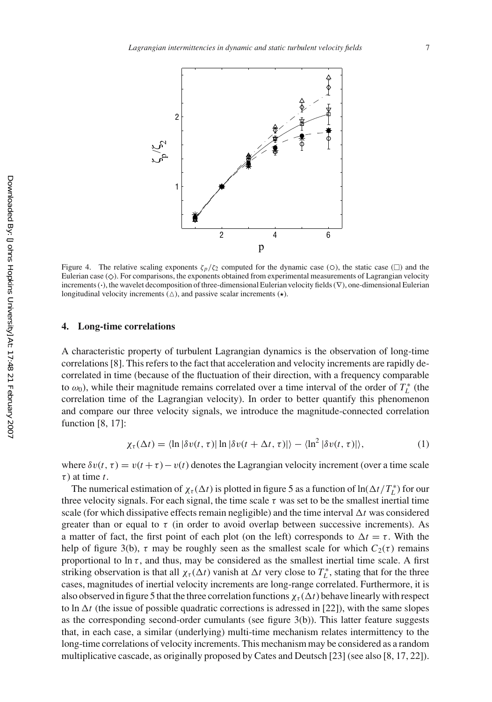

Figure 4. The relative scaling exponents  $\zeta_p/\zeta_2$  computed for the dynamic case (○), the static case (□) and the Eulerian case ( $\Diamond$ ). For comparisons, the exponents obtained from experimental measurements of Lagrangian velocity<br>increments ( ) the wavelet decomposition of three-dimensional Eulerian velocity fields ( $\nabla$ ) one-dimens increments (*·*), the wavelet decomposition of three-dimensional Eulerian velocity fields (∇), one-dimensional Eulerian longitudinal velocity increments ( $\triangle$ ), and passive scalar increments ( $\star$ ).

#### **4. Long-time correlations**

A characteristic property of turbulent Lagrangian dynamics is the observation of long-time correlations [8]. This refers to the fact that acceleration and velocity increments are rapidly decorrelated in time (because of the fluctuation of their direction, with a frequency comparable to  $\omega_0$ ), while their magnitude remains correlated over a time interval of the order of  $T_L^*$  (the correlation time of the Lagrangian velocity). In order to better quantify this phenomenon and compare our three velocity signals, we introduce the magnitude-connected correlation function [8, 17]:

$$
\chi_{\tau}(\Delta t) = \langle \ln |\delta v(t, \tau)| \ln |\delta v(t + \Delta t, \tau)| \rangle - \langle \ln^2 |\delta v(t, \tau)| \rangle, \tag{1}
$$

where  $\delta v(t, \tau) = v(t + \tau) - v(t)$  denotes the Lagrangian velocity increment (over a time scale  $\tau$ ) at time *t*.

The numerical estimation of  $\chi_{\tau}(\Delta t)$  is plotted in figure 5 as a function of  $\ln(\Delta t/T_L^*)$  for our three velocity signals. For each signal, the time scale  $\tau$  was set to be the smallest inertial time scale (for which dissipative effects remain negligible) and the time interval  $\Delta t$  was considered greater than or equal to  $\tau$  (in order to avoid overlap between successive increments). As a matter of fact, the first point of each plot (on the left) corresponds to  $\Delta t = \tau$ . With the help of figure 3(b),  $\tau$  may be roughly seen as the smallest scale for which  $C_2(\tau)$  remains proportional to  $\ln \tau$ , and thus, may be considered as the smallest inertial time scale. A first striking observation is that all  $\chi_{\tau}(\Delta t)$  vanish at  $\Delta t$  very close to  $T_L^*$ , stating that for the three cases, magnitudes of inertial velocity increments are long-range correlated. Furthermore, it is also observed in figure 5 that the three correlation functions  $\chi_{\tau}(\Delta t)$  behave linearly with respect to ln  $\Delta t$  (the issue of possible quadratic corrections is adressed in [22]), with the same slopes as the corresponding second-order cumulants (see figure 3(b)). This latter feature suggests that, in each case, a similar (underlying) multi-time mechanism relates intermittency to the long-time correlations of velocity increments. This mechanism may be considered as a random multiplicative cascade, as originally proposed by Cates and Deutsch [23] (see also [8, 17, 22]).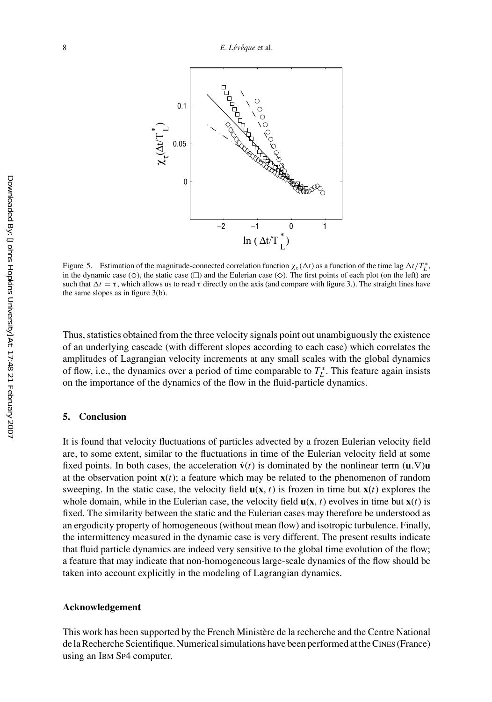

Figure 5. Estimation of the magnitude-connected correlation function  $\chi_{\tau}(\Delta t)$  as a function of the time lag  $\Delta t/T_L^*$ , in the dynamic case ( $\circ$ ), the static case ( $\square$ ) and the Eulerian case ( $\diamondsuit$ ). The first points of each plot (on the left) are such that  $\Delta t = \tau$  which allows us to read  $\tau$  directly on the axis (and compare with figu such that  $\Delta t = \tau$ , which allows us to read  $\tau$  directly on the axis (and compare with figure 3.). The straight lines have the same slopes as in figure 3(b).

Thus, statistics obtained from the three velocity signals point out unambiguously the existence of an underlying cascade (with different slopes according to each case) which correlates the amplitudes of Lagrangian velocity increments at any small scales with the global dynamics of flow, i.e., the dynamics over a period of time comparable to  $T_L^*$ . This feature again insists on the importance of the dynamics of the flow in the fluid-particle dynamics.

## **5. Conclusion**

It is found that velocity fluctuations of particles advected by a frozen Eulerian velocity field are, to some extent, similar to the fluctuations in time of the Eulerian velocity field at some fixed points. In both cases, the acceleration  $\dot{\mathbf{v}}(t)$  is dominated by the nonlinear term  $(\mathbf{u}.\nabla)\mathbf{u}$ at the observation point  $\mathbf{x}(t)$ ; a feature which may be related to the phenomenon of random sweeping. In the static case, the velocity field  $\mathbf{u}(\mathbf{x}, t)$  is frozen in time but  $\mathbf{x}(t)$  explores the whole domain, while in the Eulerian case, the velocity field  $\mathbf{u}(\mathbf{x}, t)$  evolves in time but  $\mathbf{x}(t)$  is fixed. The similarity between the static and the Eulerian cases may therefore be understood as an ergodicity property of homogeneous (without mean flow) and isotropic turbulence. Finally, the intermittency measured in the dynamic case is very different. The present results indicate that fluid particle dynamics are indeed very sensitive to the global time evolution of the flow; a feature that may indicate that non-homogeneous large-scale dynamics of the flow should be taken into account explicitly in the modeling of Lagrangian dynamics.

#### **Acknowledgement**

This work has been supported by the French Ministère de la recherche and the Centre National de la Recherche Scientifique. Numerical simulations have been performed at the CINES (France) using an IBM SP4 computer.